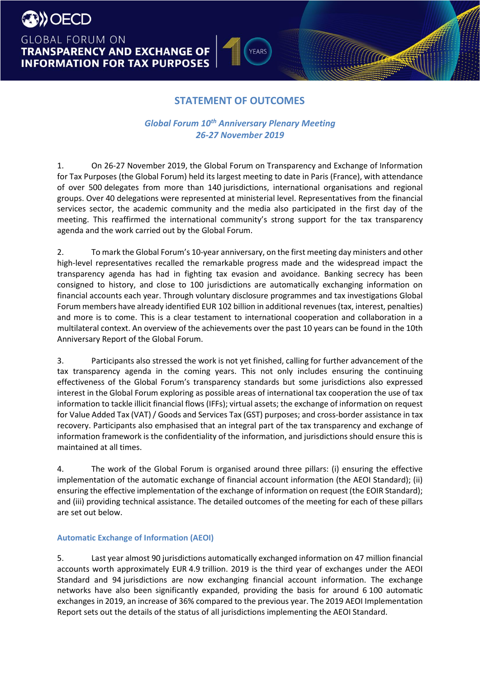**BESO DECD GLOBAL FORUM ON TRANSPARENCY AND EXCHANGE OF INFORMATION FOR TAX PURPOSES** 

# **STATEMENT OF OUTCOMES**

**YEARS** 

lla

### *Global Forum 10th Anniversary Plenary Meeting 26-27 November 2019*

1. On 26-27 November 2019, the Global Forum on Transparency and Exchange of Information for Tax Purposes (the Global Forum) held its largest meeting to date in Paris (France), with attendance of over 500 delegates from more than 140 jurisdictions, international organisations and regional groups. Over 40 delegations were represented at ministerial level. Representatives from the financial services sector, the academic community and the media also participated in the first day of the meeting. This reaffirmed the international community's strong support for the tax transparency agenda and the work carried out by the Global Forum.

2. To mark the Global Forum's 10-year anniversary, on the first meeting day ministers and other high-level representatives recalled the remarkable progress made and the widespread impact the transparency agenda has had in fighting tax evasion and avoidance. Banking secrecy has been consigned to history, and close to 100 jurisdictions are automatically exchanging information on financial accounts each year. Through voluntary disclosure programmes and tax investigations Global Forum members have already identified EUR 102 billion in additional revenues(tax, interest, penalties) and more is to come. This is a clear testament to international cooperation and collaboration in a multilateral context. An overview of the achievements over the past 10 years can be found in the 10th Anniversary Report of the Global Forum.

3. Participants also stressed the work is not yet finished, calling for further advancement of the tax transparency agenda in the coming years. This not only includes ensuring the continuing effectiveness of the Global Forum's transparency standards but some jurisdictions also expressed interest in the Global Forum exploring as possible areas of international tax cooperation the use of tax information to tackle illicit financial flows (IFFs); virtual assets; the exchange of information on request for Value Added Tax (VAT)/ Goods and Services Tax (GST) purposes; and cross-border assistance in tax recovery. Participants also emphasised that an integral part of the tax transparency and exchange of information framework is the confidentiality of the information, and jurisdictions should ensure this is maintained at all times.

4. The work of the Global Forum is organised around three pillars: (i) ensuring the effective implementation of the automatic exchange of financial account information (the AEOI Standard); (ii) ensuring the effective implementation of the exchange of information on request (the EOIR Standard); and (iii) providing technical assistance. The detailed outcomes of the meeting for each of these pillars are set out below.

### **Automatic Exchange of Information (AEOI)**

5. Last year almost 90 jurisdictions automatically exchanged information on 47 million financial accounts worth approximately EUR 4.9 trillion. 2019 is the third year of exchanges under the AEOI Standard and 94 jurisdictions are now exchanging financial account information. The exchange networks have also been significantly expanded, providing the basis for around 6 100 automatic exchanges in 2019, an increase of 36% compared to the previous year. The 2019 AEOI Implementation Report sets out the details of the status of all jurisdictions implementing the AEOI Standard.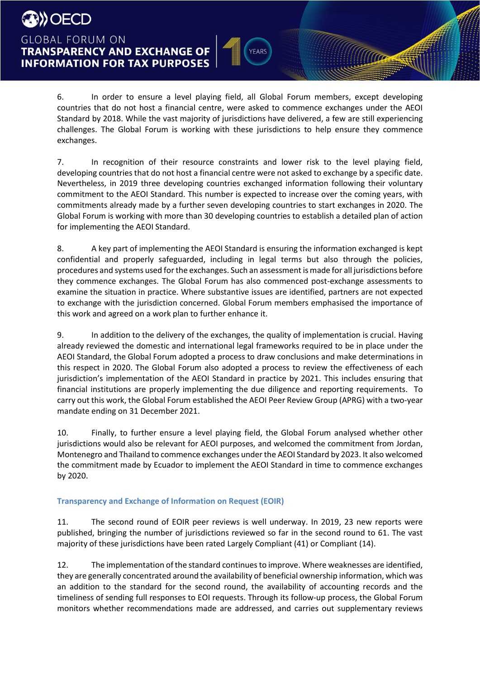6. In order to ensure a level playing field, all Global Forum members, except developing countries that do not host a financial centre, were asked to commence exchanges under the AEOI Standard by 2018. While the vast majority of jurisdictions have delivered, a few are still experiencing challenges. The Global Forum is working with these jurisdictions to help ensure they commence exchanges.

**YEARS** 

lla

7. In recognition of their resource constraints and lower risk to the level playing field, developing countries that do not host a financial centre were not asked to exchange by a specific date. Nevertheless, in 2019 three developing countries exchanged information following their voluntary commitment to the AEOI Standard. This number is expected to increase over the coming years, with commitments already made by a further seven developing countries to start exchanges in 2020. The Global Forum is working with more than 30 developing countries to establish a detailed plan of action for implementing the AEOI Standard.

8. A key part of implementing the AEOI Standard is ensuring the information exchanged is kept confidential and properly safeguarded, including in legal terms but also through the policies, procedures and systems used for the exchanges. Such an assessment is made for all jurisdictions before they commence exchanges. The Global Forum has also commenced post-exchange assessments to examine the situation in practice. Where substantive issues are identified, partners are not expected to exchange with the jurisdiction concerned. Global Forum members emphasised the importance of this work and agreed on a work plan to further enhance it.

9. In addition to the delivery of the exchanges, the quality of implementation is crucial. Having already reviewed the domestic and international legal frameworks required to be in place under the AEOI Standard, the Global Forum adopted a process to draw conclusions and make determinations in this respect in 2020. The Global Forum also adopted a process to review the effectiveness of each jurisdiction's implementation of the AEOI Standard in practice by 2021. This includes ensuring that financial institutions are properly implementing the due diligence and reporting requirements. To carry out this work, the Global Forum established the AEOI Peer Review Group (APRG) with a two-year mandate ending on 31 December 2021.

10. Finally, to further ensure a level playing field, the Global Forum analysed whether other jurisdictions would also be relevant for AEOI purposes, and welcomed the commitment from Jordan, Montenegro and Thailand to commence exchanges under the AEOI Standard by 2023. It also welcomed the commitment made by Ecuador to implement the AEOI Standard in time to commence exchanges by 2020.

### **Transparency and Exchange of Information on Request (EOIR)**

11. The second round of EOIR peer reviews is well underway. In 2019, 23 new reports were published, bringing the number of jurisdictions reviewed so far in the second round to 61. The vast majority of these jurisdictions have been rated Largely Compliant (41) or Compliant (14).

12. The implementation of the standard continues to improve. Where weaknesses are identified, they are generally concentrated around the availability of beneficial ownership information, which was an addition to the standard for the second round, the availability of accounting records and the timeliness of sending full responses to EOI requests. Through its follow-up process, the Global Forum monitors whether recommendations made are addressed, and carries out supplementary reviews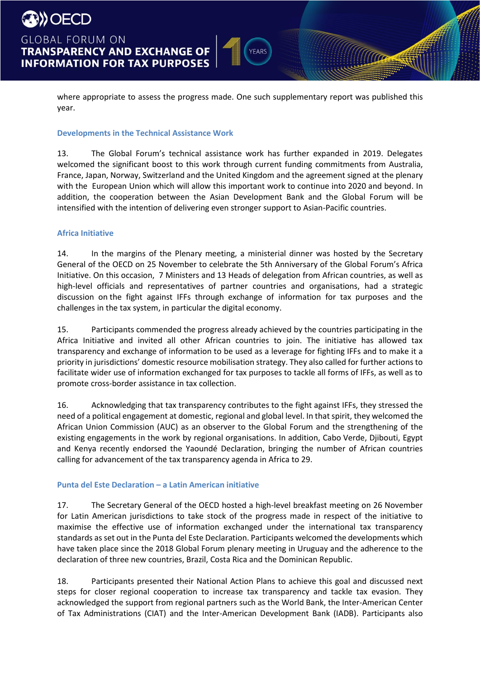

where appropriate to assess the progress made. One such supplementary report was published this year.

**Ma** 

### **Developments in the Technical Assistance Work**

13. The Global Forum's technical assistance work has further expanded in 2019. Delegates welcomed the significant boost to this work through current funding commitments from Australia, France, Japan, Norway, Switzerland and the United Kingdom and the agreement signed at the plenary with the European Union which will allow this important work to continue into 2020 and beyond. In addition, the cooperation between the Asian Development Bank and the Global Forum will be intensified with the intention of delivering even stronger support to Asian-Pacific countries.

### **Africa Initiative**

14. In the margins of the Plenary meeting, a ministerial dinner was hosted by the Secretary General of the OECD on 25 November to celebrate the 5th Anniversary of the Global Forum's Africa Initiative. On this occasion, 7 Ministers and 13 Heads of delegation from African countries, as well as high-level officials and representatives of partner countries and organisations, had a strategic discussion on the fight against IFFs through exchange of information for tax purposes and the challenges in the tax system, in particular the digital economy.

15. Participants commended the progress already achieved by the countries participating in the Africa Initiative and invited all other African countries to join. The initiative has allowed tax transparency and exchange of information to be used as a leverage for fighting IFFs and to make it a priority in jurisdictions' domestic resource mobilisation strategy. They also called for further actions to facilitate wider use of information exchanged for tax purposes to tackle all forms of IFFs, as well as to promote cross-border assistance in tax collection.

16. Acknowledging that tax transparency contributes to the fight against IFFs, they stressed the need of a political engagement at domestic, regional and global level. In that spirit, they welcomed the African Union Commission (AUC) as an observer to the Global Forum and the strengthening of the existing engagements in the work by regional organisations. In addition, Cabo Verde, Djibouti, Egypt and Kenya recently endorsed the Yaoundé Declaration, bringing the number of African countries calling for advancement of the tax transparency agenda in Africa to 29.

### **Punta del Este Declaration – a Latin American initiative**

17. The Secretary General of the OECD hosted a high-level breakfast meeting on 26 November for Latin American jurisdictions to take stock of the progress made in respect of the initiative to maximise the effective use of information exchanged under the international tax transparency standards as set out in the Punta del Este Declaration. Participants welcomed the developments which have taken place since the 2018 Global Forum plenary meeting in Uruguay and the adherence to the declaration of three new countries, Brazil, Costa Rica and the Dominican Republic.

18. Participants presented their National Action Plans to achieve this goal and discussed next steps for closer regional cooperation to increase tax transparency and tackle tax evasion. They acknowledged the support from regional partners such as the World Bank, the Inter-American Center of Tax Administrations (CIAT) and the Inter-American Development Bank (IADB). Participants also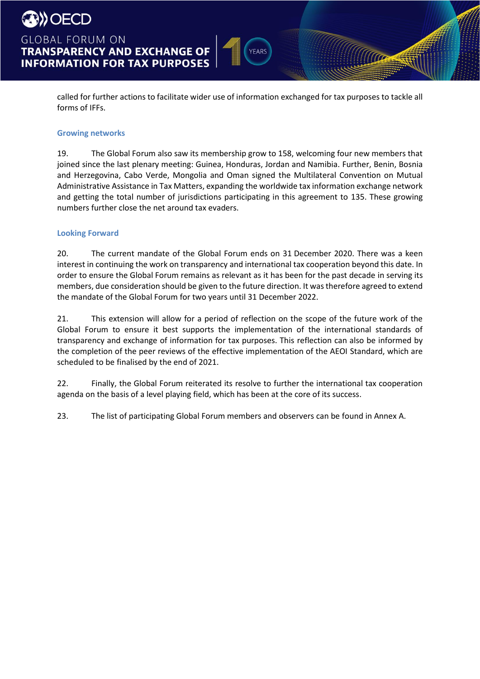

## **GLOBAL FORUM ON TRANSPARENCY AND EXCHANGE OF INFORMATION FOR TAX PURPOSES**

called for further actions to facilitate wider use of information exchanged for tax purposes to tackle all forms of IFFs.

YEARS

### **Growing networks**

19. The Global Forum also saw its membership grow to 158, welcoming four new members that joined since the last plenary meeting: Guinea, Honduras, Jordan and Namibia. Further, Benin, Bosnia and Herzegovina, Cabo Verde, Mongolia and Oman signed the Multilateral Convention on Mutual Administrative Assistance in Tax Matters, expanding the worldwide tax information exchange network and getting the total number of jurisdictions participating in this agreement to 135. These growing numbers further close the net around tax evaders.

### **Looking Forward**

20. The current mandate of the Global Forum ends on 31 December 2020. There was a keen interest in continuing the work on transparency and international tax cooperation beyond this date. In order to ensure the Global Forum remains as relevant as it has been for the past decade in serving its members, due consideration should be given to the future direction. It was therefore agreed to extend the mandate of the Global Forum for two years until 31 December 2022.

21. This extension will allow for a period of reflection on the scope of the future work of the Global Forum to ensure it best supports the implementation of the international standards of transparency and exchange of information for tax purposes. This reflection can also be informed by the completion of the peer reviews of the effective implementation of the AEOI Standard, which are scheduled to be finalised by the end of 2021.

22. Finally, the Global Forum reiterated its resolve to further the international tax cooperation agenda on the basis of a level playing field, which has been at the core of its success.

23. The list of participating Global Forum members and observers can be found in Annex A.